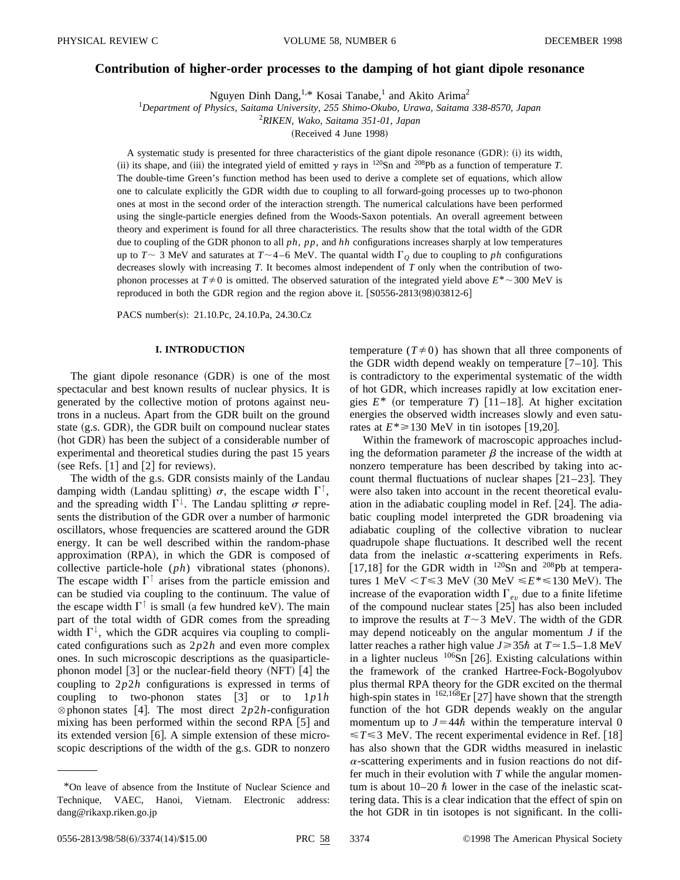# **Contribution of higher-order processes to the damping of hot giant dipole resonance**

Nguyen Dinh Dang,<sup>1,\*</sup> Kosai Tanabe,<sup>1</sup> and Akito Arima<sup>2</sup>

1 *Department of Physics, Saitama University, 255 Shimo-Okubo, Urawa, Saitama 338-8570, Japan*

2 *RIKEN, Wako, Saitama 351-01, Japan*

(Received 4 June 1998)

A systematic study is presented for three characteristics of the giant dipole resonance  $(GDR)$ : (i) its width, (ii) its shape, and (iii) the integrated yield of emitted  $\gamma$  rays in <sup>120</sup>Sn and <sup>208</sup>Pb as a function of temperature *T*. The double-time Green's function method has been used to derive a complete set of equations, which allow one to calculate explicitly the GDR width due to coupling to all forward-going processes up to two-phonon ones at most in the second order of the interaction strength. The numerical calculations have been performed using the single-particle energies defined from the Woods-Saxon potentials. An overall agreement between theory and experiment is found for all three characteristics. The results show that the total width of the GDR due to coupling of the GDR phonon to all *ph*, *pp*, and *hh* configurations increases sharply at low temperatures up to  $T \sim 3$  MeV and saturates at  $T \sim 4-6$  MeV. The quantal width  $\Gamma_Q$  due to coupling to *ph* configurations decreases slowly with increasing *T*. It becomes almost independent of *T* only when the contribution of twophonon processes at  $T \neq 0$  is omitted. The observed saturation of the integrated yield above  $E^* \sim 300$  MeV is reproduced in both the GDR region and the region above it.  $[ S0556-2813(98)03812-6 ]$ 

PACS number(s): 21.10.Pc, 24.10.Pa, 24.30.Cz

# **I. INTRODUCTION**

The giant dipole resonance  $(GDR)$  is one of the most spectacular and best known results of nuclear physics. It is generated by the collective motion of protons against neutrons in a nucleus. Apart from the GDR built on the ground state  $(g.s. GDR)$ , the GDR built on compound nuclear states (hot GDR) has been the subject of a considerable number of experimental and theoretical studies during the past 15 years (see Refs.  $\lceil 1 \rceil$  and  $\lceil 2 \rceil$  for reviews).

The width of the g.s. GDR consists mainly of the Landau damping width (Landau splitting)  $\sigma$ , the escape width  $\Gamma^{\dagger}$ , and the spreading width  $\Gamma^{\downarrow}$ . The Landau splitting  $\sigma$  represents the distribution of the GDR over a number of harmonic oscillators, whose frequencies are scattered around the GDR energy. It can be well described within the random-phase approximation (RPA), in which the GDR is composed of collective particle-hole  $(ph)$  vibrational states (phonons). The escape width  $\Gamma$ <sup>↑</sup> arises from the particle emission and can be studied via coupling to the continuum. The value of the escape width  $\Gamma$ <sup> $\uparrow$ </sup> is small (a few hundred keV). The main part of the total width of GDR comes from the spreading width  $\Gamma^{\downarrow}$ , which the GDR acquires via coupling to complicated configurations such as 2*p*2*h* and even more complex ones. In such microscopic descriptions as the quasiparticlephonon model  $\lceil 3 \rceil$  or the nuclear-field theory (NFT)  $\lceil 4 \rceil$  the coupling to 2*p*2*h* configurations is expressed in terms of coupling to two-phonon states  $\begin{bmatrix} 3 \end{bmatrix}$  or to  $1p1h$  $\otimes$  phonon states [4]. The most direct  $2p2h$ -configuration mixing has been performed within the second RPA  $[5]$  and its extended version  $\vert 6 \vert$ . A simple extension of these microscopic descriptions of the width of the g.s. GDR to nonzero temperature  $(T\neq 0)$  has shown that all three components of the GDR width depend weakly on temperature  $[7-10]$ . This is contradictory to the experimental systematic of the width of hot GDR, which increases rapidly at low excitation energies  $E^*$  (or temperature *T*) [11–18]. At higher excitation energies the observed width increases slowly and even saturates at  $E^* \ge 130$  MeV in tin isotopes [19,20].

Within the framework of macroscopic approaches including the deformation parameter  $\beta$  the increase of the width at nonzero temperature has been described by taking into account thermal fluctuations of nuclear shapes  $[21–23]$ . They were also taken into account in the recent theoretical evaluation in the adiabatic coupling model in Ref.  $[24]$ . The adiabatic coupling model interpreted the GDR broadening via adiabatic coupling of the collective vibration to nuclear quadrupole shape fluctuations. It described well the recent data from the inelastic  $\alpha$ -scattering experiments in Refs. [17,18] for the GDR width in  $^{120}Sn$  and  $^{208}Pb$  at temperatures 1 MeV  $\langle T \leq 3 \text{ MeV} (30 \text{ MeV} \leq E^* \leq 130 \text{ MeV})$ . The increase of the evaporation width  $\Gamma_{e\nu}$  due to a finite lifetime of the compound nuclear states  $[25]$  has also been included to improve the results at  $T \sim 3$  MeV. The width of the GDR may depend noticeably on the angular momentum *J* if the latter reaches a rather high value  $J \geq 35\hbar$  at  $T \approx 1.5-1.8$  MeV in a lighter nucleus  $106$ Sn [26]. Existing calculations within the framework of the cranked Hartree-Fock-Bogolyubov plus thermal RPA theory for the GDR excited on the thermal high-spin states in  $^{162,168}$ Er [27] have shown that the strength function of the hot GDR depends weakly on the angular momentum up to  $J=44\hbar$  within the temperature interval 0  $\leq T \leq 3$  MeV. The recent experimental evidence in Ref. [18] has also shown that the GDR widths measured in inelastic  $\alpha$ -scattering experiments and in fusion reactions do not differ much in their evolution with *T* while the angular momentum is about  $10-20 \hbar$  lower in the case of the inelastic scattering data. This is a clear indication that the effect of spin on the hot GDR in tin isotopes is not significant. In the colli-

<sup>\*</sup>On leave of absence from the Institute of Nuclear Science and Technique, VAEC, Hanoi, Vietnam. Electronic address: dang@rikaxp.riken.go.jp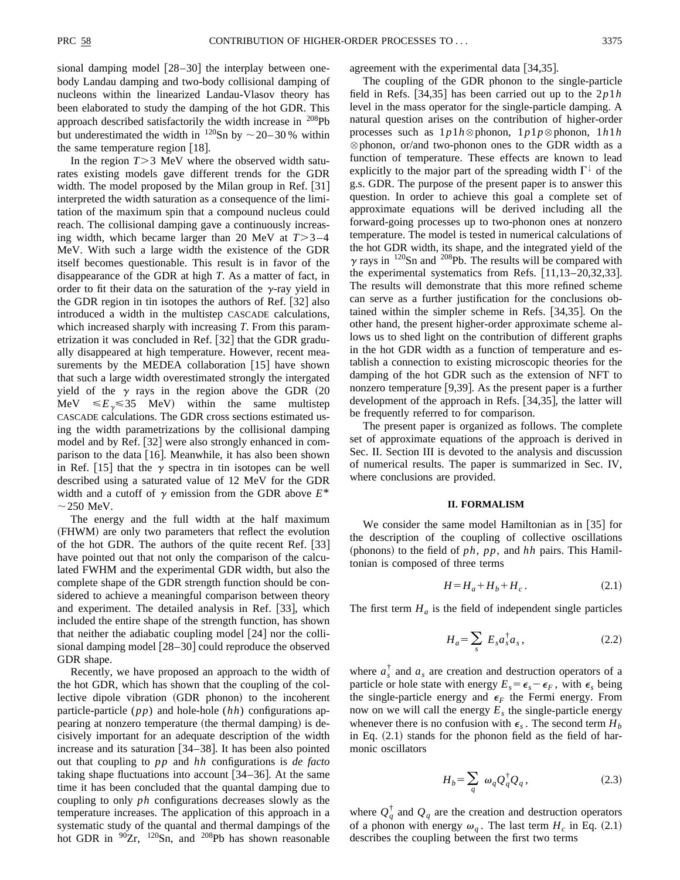sional damping model  $[28-30]$  the interplay between onebody Landau damping and two-body collisional damping of nucleons within the linearized Landau-Vlasov theory has been elaborated to study the damping of the hot GDR. This approach described satisfactorily the width increase in <sup>208</sup>Pb but underestimated the width in  $120$ Sn by  $\sim$  20–30 % within the same temperature region  $[18]$ .

In the region  $T > 3$  MeV where the observed width saturates existing models gave different trends for the GDR width. The model proposed by the Milan group in Ref.  $[31]$ interpreted the width saturation as a consequence of the limitation of the maximum spin that a compound nucleus could reach. The collisional damping gave a continuously increasing width, which became larger than 20 MeV at  $T > 3-4$ MeV. With such a large width the existence of the GDR itself becomes questionable. This result is in favor of the disappearance of the GDR at high *T*. As a matter of fact, in order to fit their data on the saturation of the  $\gamma$ -ray yield in the GDR region in tin isotopes the authors of Ref.  $\left[32\right]$  also introduced a width in the multistep CASCADE calculations, which increased sharply with increasing *T*. From this parametrization it was concluded in Ref.  $[32]$  that the GDR gradually disappeared at high temperature. However, recent measurements by the MEDEA collaboration  $\lfloor 15 \rfloor$  have shown that such a large width overestimated strongly the intergated yield of the  $\gamma$  rays in the region above the GDR (20 MeV  $\leq E_y \leq 35$  MeV) within the same multistep CASCADE calculations. The GDR cross sections estimated using the width parametrizations by the collisional damping model and by Ref. [32] were also strongly enhanced in comparison to the data  $[16]$ . Meanwhile, it has also been shown in Ref. [15] that the  $\gamma$  spectra in tin isotopes can be well described using a saturated value of 12 MeV for the GDR width and a cutoff of  $\gamma$  emission from the GDR above  $E^*$  $\sim$  250 MeV.

The energy and the full width at the half maximum (FHWM) are only two parameters that reflect the evolution of the hot GDR. The authors of the quite recent Ref.  $[33]$ have pointed out that not only the comparison of the calculated FWHM and the experimental GDR width, but also the complete shape of the GDR strength function should be considered to achieve a meaningful comparison between theory and experiment. The detailed analysis in Ref. [33], which included the entire shape of the strength function, has shown that neither the adiabatic coupling model  $[24]$  nor the collisional damping model  $[28–30]$  could reproduce the observed GDR shape.

Recently, we have proposed an approach to the width of the hot GDR, which has shown that the coupling of the collective dipole vibration (GDR phonon) to the incoherent particle-particle (*pp*) and hole-hole (*hh*) configurations appearing at nonzero temperature (the thermal damping) is decisively important for an adequate description of the width increase and its saturation  $[34–38]$ . It has been also pointed out that coupling to *pp* and *hh* configurations is *de facto* taking shape fluctuations into account  $[34–36]$ . At the same time it has been concluded that the quantal damping due to coupling to only *ph* configurations decreases slowly as the temperature increases. The application of this approach in a systematic study of the quantal and thermal dampings of the hot GDR in  $90Zr$ ,  $120Sn$ , and  $208Pb$  has shown reasonable agreement with the experimental data  $[34,35]$ .

The coupling of the GDR phonon to the single-particle field in Refs.  $[34,35]$  has been carried out up to the  $2p1h$ level in the mass operator for the single-particle damping. A natural question arises on the contribution of higher-order processes such as  $1p1h \otimes$  phonon,  $1p1p \otimes$  phonon,  $1h1h$  $\otimes$  phonon, or/and two-phonon ones to the GDR width as a function of temperature. These effects are known to lead explicitly to the major part of the spreading width  $\Gamma^{\downarrow}$  of the g.s. GDR. The purpose of the present paper is to answer this question. In order to achieve this goal a complete set of approximate equations will be derived including all the forward-going processes up to two-phonon ones at nonzero temperature. The model is tested in numerical calculations of the hot GDR width, its shape, and the integrated yield of the  $\gamma$  rays in <sup>120</sup>Sn and <sup>208</sup>Pb. The results will be compared with the experimental systematics from Refs.  $[11,13-20,32,33]$ . The results will demonstrate that this more refined scheme can serve as a further justification for the conclusions obtained within the simpler scheme in Refs.  $[34,35]$ . On the other hand, the present higher-order approximate scheme allows us to shed light on the contribution of different graphs in the hot GDR width as a function of temperature and establish a connection to existing microscopic theories for the damping of the hot GDR such as the extension of NFT to nonzero temperature  $[9,39]$ . As the present paper is a further development of the approach in Refs.  $[34,35]$ , the latter will be frequently referred to for comparison.

The present paper is organized as follows. The complete set of approximate equations of the approach is derived in Sec. II. Section III is devoted to the analysis and discussion of numerical results. The paper is summarized in Sec. IV, where conclusions are provided.

#### **II. FORMALISM**

We consider the same model Hamiltonian as in  $[35]$  for the description of the coupling of collective oscillations (phonons) to the field of  $ph$ ,  $pp$ , and  $hh$  pairs. This Hamiltonian is composed of three terms

$$
H = H_a + H_b + H_c. \tag{2.1}
$$

The first term  $H_a$  is the field of independent single particles

$$
H_a = \sum_s E_s a_s^{\dagger} a_s, \qquad (2.2)
$$

where  $a_s^{\dagger}$  and  $a_s$  are creation and destruction operators of a particle or hole state with energy  $E_s = \epsilon_s - \epsilon_F$ , with  $\epsilon_s$  being the single-particle energy and  $\epsilon_F$  the Fermi energy. From now on we will call the energy  $E_s$  the single-particle energy whenever there is no confusion with  $\epsilon_s$ . The second term  $H_b$ in Eq.  $(2.1)$  stands for the phonon field as the field of harmonic oscillators

$$
H_b = \sum_q \omega_q Q_q^{\dagger} Q_q, \qquad (2.3)
$$

where  $Q_q^{\dagger}$  and  $Q_q$  are the creation and destruction operators of a phonon with energy  $\omega_q$ . The last term  $H_c$  in Eq. (2.1) describes the coupling between the first two terms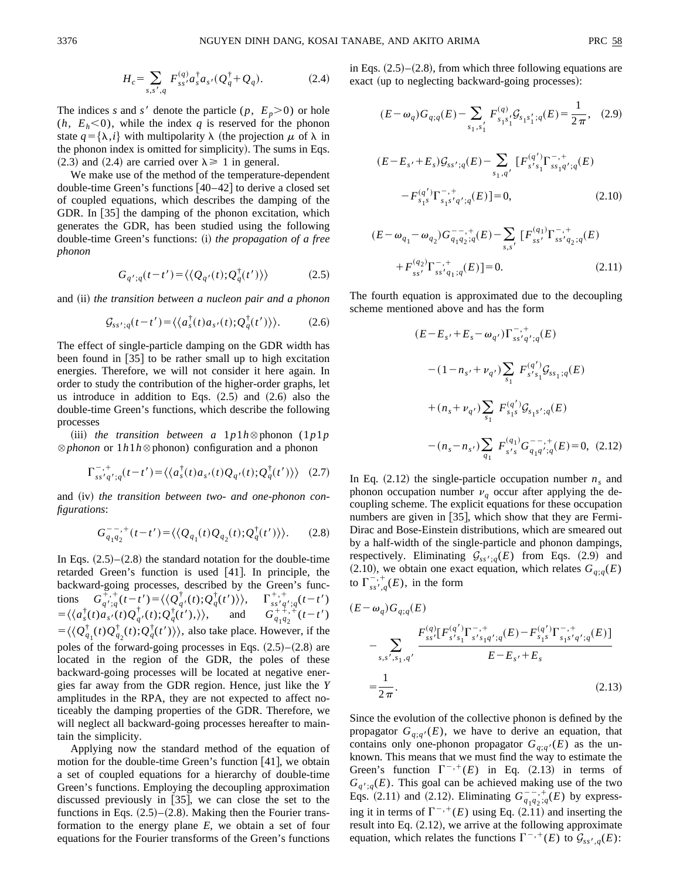

The indices *s* and *s'* denote the particle  $(p, E_p > 0)$  or hole  $(h, E_h < 0)$ , while the index *q* is reserved for the phonon state  $q = {\lambda, i}$  with multipolarity  $\lambda$  (the projection  $\mu$  of  $\lambda$  in the phonon index is omitted for simplicity). The sums in Eqs.  $(2.3)$  and  $(2.4)$  are carried over  $\lambda \ge 1$  in general.

We make use of the method of the temperature-dependent double-time Green's functions  $[40-42]$  to derive a closed set of coupled equations, which describes the damping of the GDR. In [35] the damping of the phonon excitation, which generates the GDR, has been studied using the following double-time Green's functions: (i) *the propagation of a free phonon*

$$
G_{q';q}(t-t') = \langle \langle Q_{q'}(t); Q_q^{\dagger}(t') \rangle \rangle \tag{2.5}
$$

and (ii) *the transition between a nucleon pair and a phonon* 

$$
\mathcal{G}_{ss';q}(t-t') = \langle \langle a_s^{\dagger}(t) a_{s'}(t); Q_q^{\dagger}(t') \rangle \rangle. \tag{2.6}
$$

The effect of single-particle damping on the GDR width has been found in  $\lceil 35 \rceil$  to be rather small up to high excitation energies. Therefore, we will not consider it here again. In order to study the contribution of the higher-order graphs, let us introduce in addition to Eqs.  $(2.5)$  and  $(2.6)$  also the double-time Green's functions, which describe the following processes

(iii) *the transition between a*  $1p1h \otimes$  phonon ( $1p1p$  $\otimes$  *phonon* or 1*h*1*h* $\otimes$  phonon) configuration and a phonon

$$
\Gamma_{ss'q';q}^{-,+}(t-t') = \langle \langle a_s^{\dagger}(t)a_{s'}(t)Q_{q'}(t);Q_q^{\dagger}(t') \rangle \rangle \quad (2.7)
$$

and (iv) *the transition between two- and one-phonon configurations*:

$$
G_{q_1q_2}^{-,-,+}(t-t') = \langle \langle Q_{q_1}(t)Q_{q_2}(t); Q_q^{\dagger}(t') \rangle \rangle. \tag{2.8}
$$

In Eqs.  $(2.5)$ – $(2.8)$  the standard notation for the double-time retarded Green's function is used  $[41]$ . In principle, the backward-going processes, described by the Green's functions  $G_{q',q}^{+,+}(t-t') = \langle \langle Q_{q'}^{\dagger}(t), Q_{q}^{\dagger}(t') \rangle \rangle, \quad \Gamma_{ss'q'}^{+,+}(t-t')$  $=\langle \langle a_s^{\dagger}(t)a_{s'}(t)Q_q^{\dagger}(t);Q_q^{\dagger}(t')\rangle \rangle, \text{ and } G_{q_1q_2}^{++,+}(t-t')$  $= \langle \langle Q_{q_1}^{\dagger}(t) Q_{q_2}^{\dagger}(t); Q_{q}^{\dagger}(t') \rangle \rangle$ , also take place. However, if the poles of the forward-going processes in Eqs.  $(2.5)$ – $(2.8)$  are located in the region of the GDR, the poles of these backward-going processes will be located at negative energies far away from the GDR region. Hence, just like the *Y* amplitudes in the RPA, they are not expected to affect noticeably the damping properties of the GDR. Therefore, we will neglect all backward-going processes hereafter to maintain the simplicity.

Applying now the standard method of the equation of motion for the double-time Green's function  $[41]$ , we obtain a set of coupled equations for a hierarchy of double-time Green's functions. Employing the decoupling approximation discussed previously in  $[35]$ , we can close the set to the functions in Eqs.  $(2.5)$ – $(2.8)$ . Making then the Fourier transformation to the energy plane *E*, we obtain a set of four equations for the Fourier transforms of the Green's functions in Eqs.  $(2.5)$ – $(2.8)$ , from which three following equations are exact (up to neglecting backward-going processes):

$$
(E - \omega_q)G_{q;q}(E) - \sum_{s_1, s_1'} F_{s_1s_1}^{(q)} \mathcal{G}_{s_1s_1';q}(E) = \frac{1}{2\pi}, \quad (2.9)
$$
  

$$
(E - E_{s'} + E_s) \mathcal{G}_{ss';q}(E) - \sum_{s_1, q'} [F_{s's_1}^{(q')} \Gamma_{ss_1q';q}^{-,+}(E) - F_{s_1s}^{(q')} \Gamma_{s_1s'q';q}^{-,+}(E)] = 0, \quad (2.10)
$$

$$
(E - \omega_{q_1} - \omega_{q_2}) G_{q_1 q_2; q}^{--, +} (E) - \sum_{s, s'} [F_{ss'}^{(q_1)} \Gamma_{ss' q_2; q}^{-, +} (E) + F_{ss'}^{(q_2)} \Gamma_{ss' q_1; q}^{-, +} (E)] = 0.
$$
\n(2.11)

The fourth equation is approximated due to the decoupling scheme mentioned above and has the form

$$
(E - E_{s'} + E_s - \omega_{q'}) \Gamma_{ss'q';q}^{-, +} (E)
$$
  

$$
- (1 - n_{s'} + \nu_{q'}) \sum_{s_1} F_{s's_1}^{(q')} \mathcal{G}_{ss_1;q}(E)
$$
  

$$
+ (n_s + \nu_{q'}) \sum_{s_1} F_{s_1s}^{(q')} \mathcal{G}_{s_1s';q}(E)
$$
  

$$
- (n_s - n_{s'}) \sum_{q_1} F_{s's}^{(q_1)} G_{q_1q';q}^{-, +} (E) = 0, (2.12)
$$

In Eq.  $(2.12)$  the single-particle occupation number  $n<sub>s</sub>$  and phonon occupation number  $v_q$  occur after applying the decoupling scheme. The explicit equations for these occupation numbers are given in  $[35]$ , which show that they are Fermi-Dirac and Bose-Einstein distributions, which are smeared out by a half-width of the single-particle and phonon dampings, respectively. Eliminating  $G_{ss';q}(E)$  from Eqs. (2.9) and  $(2.10)$ , we obtain one exact equation, which relates  $G_{q;q}(E)$ to  $\Gamma^{-, +}_{ss', q}(E)$ , in the form

$$
(E - \omega_q) G_{q;q}(E)
$$
  
\n
$$
- \sum_{s,s',s_1,q'} \frac{F_{ss'}^{(q)} [F_{s's_1}^{(q')} \Gamma_{s's_1q';q}^{-,+} (E) - F_{s_1s}^{(q')} \Gamma_{s_1s'q';q}^{-,+} (E)]}{E - E_{s'} + E_s}
$$
  
\n
$$
= \frac{1}{2\pi}.
$$
\n(2.13)

Since the evolution of the collective phonon is defined by the propagator  $G_{q;q'}(E)$ , we have to derive an equation, that contains only one-phonon propagator  $G_{q;q'}(E)$  as the unknown. This means that we must find the way to estimate the Green's function  $\Gamma^{-,+}(E)$  in Eq. (2.13) in terms of  $G_{q',q}(E)$ . This goal can be achieved making use of the two Eqs. (2.11) and (2.12). Eliminating  $G_{q_1q_2;q}^{--,+}(E)$  by expressing it in terms of  $\Gamma^{-,+}(E)$  using Eq. (2.11) and inserting the result into Eq.  $(2.12)$ , we arrive at the following approximate equation, which relates the functions  $\Gamma^{-, +}(E)$  to  $\mathcal{G}_{ss',q}(E)$ :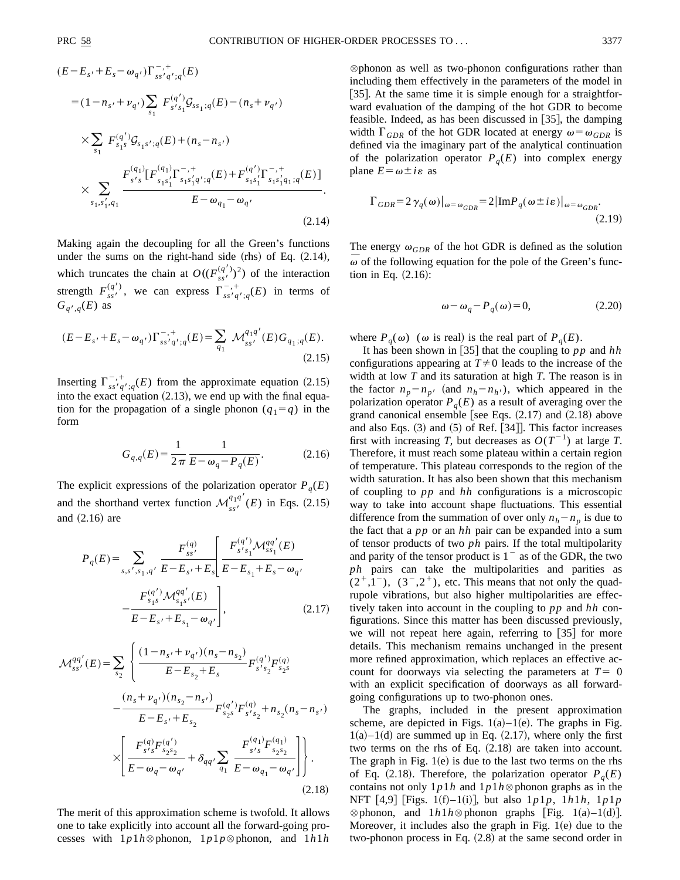$$
(E - E_{s'} + E_s - \omega_{q'}) \Gamma_{ss'q';q}^{-,+}(E)
$$
  
\n
$$
= (1 - n_{s'} + \nu_{q'}) \sum_{s_1} F_{s's_1}^{(q')} \mathcal{G}_{ss_1; q}(E) - (n_s + \nu_{q'})
$$
  
\n
$$
\times \sum_{s_1} F_{s_1s}^{(q')} \mathcal{G}_{s_1s';q}(E) + (n_s - n_{s'})
$$
  
\n
$$
\times \sum_{s_1, s'_1, q_1} \frac{F_{s's_1}^{(q_1)} [F_{s_1s'_1}^{(q_1)} \Gamma_{s_1s'_1q';q}^{-,+}(E) + F_{s_1s'_1}^{(q')} \Gamma_{s_1s'_1q;q}^{-,+}(E)]}{E - \omega_{q_1} - \omega_{q'}}.
$$
\n(2.14)

Making again the decoupling for all the Green's functions under the sums on the right-hand side  $(rhs)$  of Eq.  $(2.14)$ , which truncates the chain at  $O((F_{ss}^{(q')})^2)$  of the interaction strength  $F_{ss}^{(q')}$ , we can express  $\Gamma_{ss}^{-,+}q_{s}^{+}(E)$  in terms of  $G_{q',q}(E)$  as

$$
(E - E_{s'} + E_s - \omega_{q'}) \Gamma_{ss'q';q}^{-, +} (E) = \sum_{q_1} \mathcal{M}_{ss'}^{q_1 q'}(E) G_{q_1;q}(E).
$$
\n(2.15)

Inserting  $\Gamma_{ss'q';q}^{-, +}(E)$  from the approximate equation (2.15) into the exact equation  $(2.13)$ , we end up with the final equation for the propagation of a single phonon  $(q_1=q)$  in the form

$$
G_{q,q}(E) = \frac{1}{2\pi} \frac{1}{E - \omega_q - P_q(E)}.
$$
 (2.16)

The explicit expressions of the polarization operator  $P_q(E)$ and the shorthand vertex function  $\mathcal{M}_{ss'}^{q_1q'}(E)$  in Eqs. (2.15) and  $(2.16)$  are

$$
P_q(E) = \sum_{s,s',s_1,q'} \frac{F_{ss'}^{(q)}}{E - E_{s'} + E_s} \left[ \frac{F_{s's_1}^{(q')} \mathcal{M}_{ss_1}^{qq'}(E)}{E - E_{s_1} + E_s - \omega_q}, \right. \\
\left. - \frac{F_{s_1s}^{(q')} \mathcal{M}_{s_1s'}^{qq'}(E)}{E - E_{s'} + E_{s_1} - \omega_q} \right],
$$
\n(2.17)

$$
\mathcal{M}_{ss'}^{qq'}(E) = \sum_{s_2} \left\{ \frac{(1 - n_{s'} + \nu_{q'}) (n_s - n_{s_2})}{E - E_{s_2} + E_s} F_{s's_2}^{(q')} F_{s's_2}^{(q)} F_{s's_2}^{(q)} - \frac{(n_s + \nu_{q'}) (n_{s_2} - n_{s'})}{E - E_{s'} + E_{s_2}} F_{s_2}^{(q')} F_{s's_2}^{(q)} + n_{s_2} (n_s - n_{s'}) \right\}
$$

$$
\times \left[ \frac{F_{s's_2}^{(q')} F_{s_2 s_2}^{(q')}}{E - \omega_q - \omega_{q'}} + \delta_{qq'} \sum_{q_1} \frac{F_{s's_2}^{(q_1)} F_{s_2 s_2}^{(q_1)}}{E - \omega_{q_1} - \omega_{q'}} \right] \right\}.
$$
(2.18)

The merit of this approximation scheme is twofold. It allows one to take explicitly into account all the forward-going processes with  $1p1h \otimes$  phonon,  $1p1p \otimes$  phonon, and  $1h1h$ 

 $\otimes$  phonon as well as two-phonon configurations rather than including them effectively in the parameters of the model in [35]. At the same time it is simple enough for a straightforward evaluation of the damping of the hot GDR to become feasible. Indeed, as has been discussed in  $\left[35\right]$ , the damping width  $\Gamma_{GDR}$  of the hot GDR located at energy  $\omega = \omega_{GDR}$  is defined via the imaginary part of the analytical continuation of the polarization operator  $P_q(E)$  into complex energy plane  $E = \omega \pm i\varepsilon$  as

$$
\Gamma_{GDR} = 2 \gamma_q(\omega)|_{\omega = \omega_{GDR}} = 2 |\text{Im} P_q(\omega \pm i\varepsilon)|_{\omega = \omega_{GDR}}.
$$
\n(2.19)

The energy  $\omega_{GDR}$  of the hot GDR is defined as the solution  $\overline{\omega}$  of the following equation for the pole of the Green's function in Eq.  $(2.16)$ :

$$
\omega - \omega_q - P_q(\omega) = 0,\tag{2.20}
$$

where  $P_q(\omega)$  ( $\omega$  is real) is the real part of  $P_q(E)$ .

It has been shown in [35] that the coupling to  $pp$  and  $hh$ configurations appearing at  $T\neq 0$  leads to the increase of the width at low *T* and its saturation at high *T*. The reason is in the factor  $n_p - n_p$  (and  $n_h - n_h$ ), which appeared in the polarization operator  $P_q(E)$  as a result of averaging over the grand canonical ensemble [see Eqs.  $(2.17)$  and  $(2.18)$  above and also Eqs.  $(3)$  and  $(5)$  of Ref.  $[34]$ . This factor increases first with increasing *T*, but decreases as  $O(T^{-1})$  at large *T*. Therefore, it must reach some plateau within a certain region of temperature. This plateau corresponds to the region of the width saturation. It has also been shown that this mechanism of coupling to *pp* and *hh* configurations is a microscopic way to take into account shape fluctuations. This essential difference from the summation of over only  $n_h - n_p$  is due to the fact that a *pp* or an *hh* pair can be expanded into a sum of tensor products of two *ph* pairs. If the total multipolarity and parity of the tensor product is  $1^{-}$  as of the GDR, the two *ph* pairs can take the multipolarities and parities as  $(2^+,1^-)$ ,  $(3^-,2^+)$ , etc. This means that not only the quadrupole vibrations, but also higher multipolarities are effectively taken into account in the coupling to *pp* and *hh* configurations. Since this matter has been discussed previously, we will not repeat here again, referring to  $[35]$  for more details. This mechanism remains unchanged in the present more refined approximation, which replaces an effective account for doorways via selecting the parameters at  $T=0$ with an explicit specification of doorways as all forwardgoing configurations up to two-phonon ones.

The graphs, included in the present approximation scheme, are depicted in Figs.  $1(a)-1(e)$ . The graphs in Fig.  $1(a)$ – $1(d)$  are summed up in Eq.  $(2.17)$ , where only the first two terms on the rhs of Eq.  $(2.18)$  are taken into account. The graph in Fig.  $1(e)$  is due to the last two terms on the rhs of Eq. (2.18). Therefore, the polarization operator  $P_q(E)$ contains not only  $1p1h$  and  $1p1h \otimes$  phonon graphs as in the NFT  $[4,9]$  [Figs. 1(f)–1(i)], but also  $1p1p$ ,  $1h1h$ ,  $1p1p$  $\otimes$  phonon, and  $1h1h \otimes$  phonon graphs [Fig. 1(a)–1(d)]. Moreover, it includes also the graph in Fig.  $1(e)$  due to the two-phonon process in Eq.  $(2.8)$  at the same second order in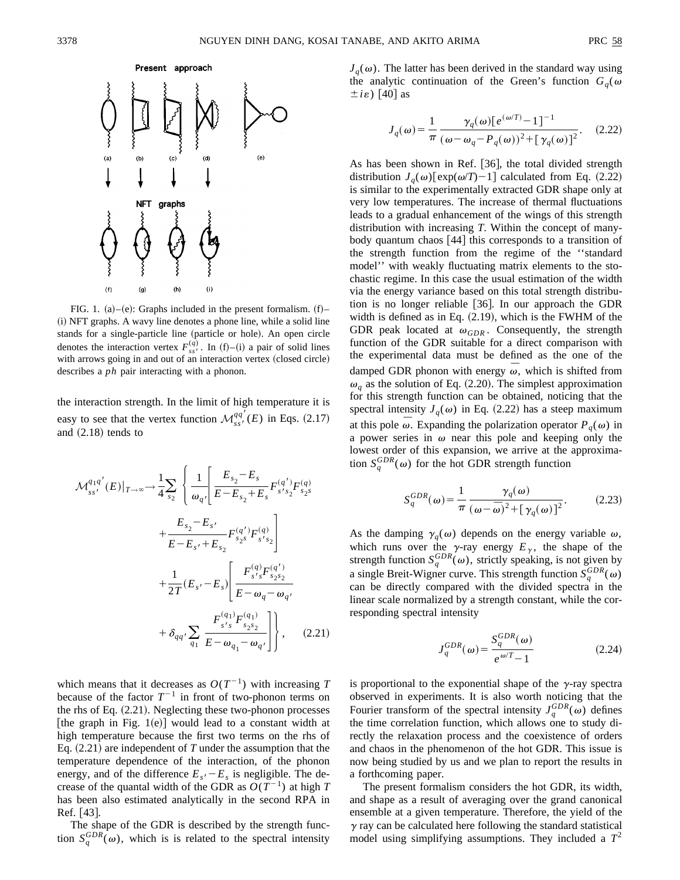

FIG. 1. (a)–(e): Graphs included in the present formalism.  $(f)$ – (i) NFT graphs. A wavy line denotes a phone line, while a solid line stands for a single-particle line (particle or hole). An open circle denotes the interaction vertex  $F_{ss}^{(q)}$ . In (f)–(i) a pair of solid lines with arrows going in and out of an interaction vertex (closed circle) describes a *ph* pair interacting with a phonon.

the interaction strength. In the limit of high temperature it is easy to see that the vertex function  $\mathcal{M}_{ss'}^{qq'}(E)$  in Eqs. (2.17) and  $(2.18)$  tends to

$$
\mathcal{M}_{ss'}^{q_1q'}(E)|_{T\to\infty} \to \frac{1}{4} \sum_{s_2} \left\{ \frac{1}{\omega_{q'}} \left[ \frac{E_{s_2} - E_s}{E - E_{s_2} + E_s} F_{s's_2}^{(q')} F_{s_2s}^{(q)} + \frac{E_{s_2} - E_{s'}}{E - E_{s'} + E_{s_2}} F_{s_2s}^{(q')} F_{s's_2}^{(q)} \right] + \frac{1}{2T} (E_{s'} - E_s) \left[ \frac{F_{s's_2}^{(q')} F_{s_2s_2}^{(q')}}{E - \omega_q - \omega_{q'}} + \delta_{qq'} \sum_{q_1} \frac{F_{s's_2s_2}^{(q_1)} F_{s_2s_2}^{(q_1)}}{E - \omega_{q_1} - \omega_{q'}} \right] \right\}, \quad (2.21)
$$

which means that it decreases as  $O(T^{-1})$  with increasing *T* because of the factor  $T^{-1}$  in front of two-phonon terms on the rhs of Eq.  $(2.21)$ . Neglecting these two-phonon processes [the graph in Fig. 1(e)] would lead to a constant width at high temperature because the first two terms on the rhs of Eq.  $(2.21)$  are independent of *T* under the assumption that the temperature dependence of the interaction, of the phonon energy, and of the difference  $E_s - E_s$  is negligible. The decrease of the quantal width of the GDR as  $O(T^{-1})$  at high *T* has been also estimated analytically in the second RPA in  $Ref. [43]$ .

The shape of the GDR is described by the strength function  $S_q^{GDR}(\omega)$ , which is is related to the spectral intensity  $J_q(\omega)$ . The latter has been derived in the standard way using the analytic continuation of the Green's function  $G_q(\omega)$  $\pm i\epsilon$ ) [40] as

$$
J_q(\omega) = \frac{1}{\pi} \frac{\gamma_q(\omega) \left[ e^{(\omega/T)} - 1 \right]^{-1}}{(\omega - \omega_q - P_q(\omega))^2 + \left[ \gamma_q(\omega) \right]^2}.
$$
 (2.22)

As has been shown in Ref. [36], the total divided strength distribution  $J_q(\omega)$ [exp( $\omega/T$ )-1] calculated from Eq. (2.22) is similar to the experimentally extracted GDR shape only at very low temperatures. The increase of thermal fluctuations leads to a gradual enhancement of the wings of this strength distribution with increasing *T*. Within the concept of manybody quantum chaos  $[44]$  this corresponds to a transition of the strength function from the regime of the ''standard model'' with weakly fluctuating matrix elements to the stochastic regime. In this case the usual estimation of the width via the energy variance based on this total strength distribution is no longer reliable  $[36]$ . In our approach the GDR width is defined as in Eq.  $(2.19)$ , which is the FWHM of the GDR peak located at  $\omega_{GDR}$ . Consequently, the strength function of the GDR suitable for a direct comparison with the experimental data must be defined as the one of the damped GDR phonon with energy  $\omega$ , which is shifted from  $\omega_a$  as the solution of Eq. (2.20). The simplest approximation for this strength function can be obtained, noticing that the spectral intensity  $J_q(\omega)$  in Eq. (2.22) has a steep maximum at this pole  $\bar{\omega}$ . Expanding the polarization operator  $P_q(\omega)$  in a power series in  $\omega$  near this pole and keeping only the lowest order of this expansion, we arrive at the approximation  $S_q^{GDR}(\omega)$  for the hot GDR strength function

$$
S_q^{GDR}(\omega) = \frac{1}{\pi} \frac{\gamma_q(\omega)}{(\omega - \bar{\omega})^2 + [\gamma_q(\omega)]^2}.
$$
 (2.23)

As the damping  $\gamma_q(\omega)$  depends on the energy variable  $\omega$ , which runs over the  $\gamma$ -ray energy  $E_{\gamma}$ , the shape of the strength function  $S_q^{GDR}(\omega)$ , strictly speaking, is not given by a single Breit-Wigner curve. This strength function  $S_q^{GDR}(\omega)$ can be directly compared with the divided spectra in the linear scale normalized by a strength constant, while the corresponding spectral intensity

$$
J_q^{GDR}(\omega) = \frac{S_q^{GDR}(\omega)}{e^{\omega/T} - 1}
$$
\n(2.24)

is proportional to the exponential shape of the  $\gamma$ -ray spectra observed in experiments. It is also worth noticing that the Fourier transform of the spectral intensity  $J_q^{GDR}(\omega)$  defines the time correlation function, which allows one to study directly the relaxation process and the coexistence of orders and chaos in the phenomenon of the hot GDR. This issue is now being studied by us and we plan to report the results in a forthcoming paper.

The present formalism considers the hot GDR, its width, and shape as a result of averaging over the grand canonical ensemble at a given temperature. Therefore, the yield of the  $\gamma$  ray can be calculated here following the standard statistical model using simplifying assumptions. They included a  $T^2$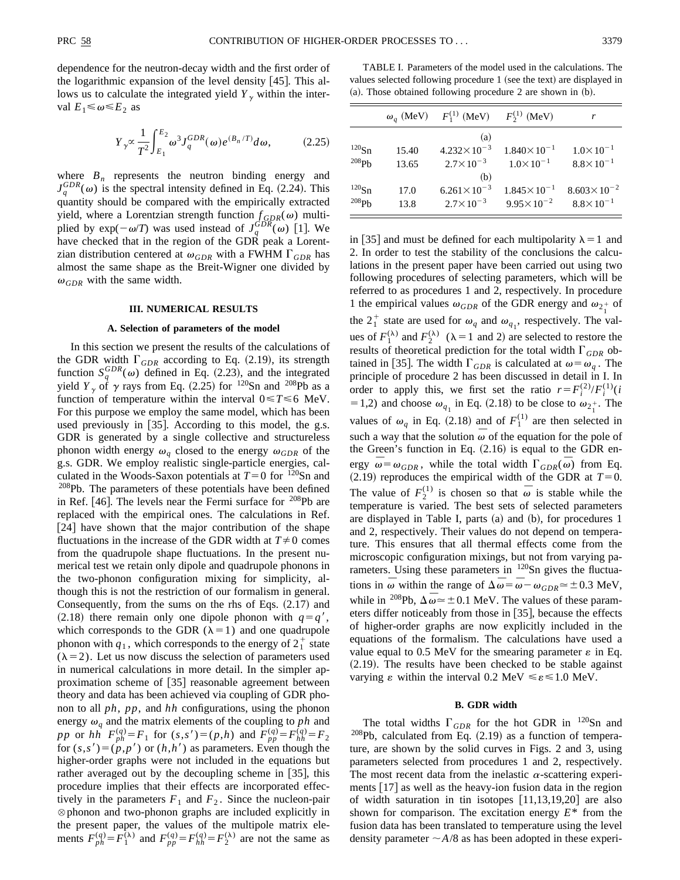dependence for the neutron-decay width and the first order of the logarithmic expansion of the level density  $|45|$ . This allows us to calculate the integrated yield  $Y_{\gamma}$  within the interval  $E_1 \le \omega \le E_2$  as

$$
Y_{\gamma} \propto \frac{1}{T^2} \int_{E_1}^{E_2} \omega^3 J_q^{GDR}(\omega) e^{(B_n/T)} d\omega, \tag{2.25}
$$

where  $B_n$  represents the neutron binding energy and  $J_q^{GDR}(\omega)$  is the spectral intensity defined in Eq. (2.24). This quantity should be compared with the empirically extracted yield, where a Lorentzian strength function  $f_{GDR}(\omega)$  multiplied by  $exp(-\omega/T)$  was used instead of  $J_q^{GDR}(\omega)$  [1]. We have checked that in the region of the GDR peak a Lorentzian distribution centered at  $\omega_{GDR}$  with a FWHM  $\Gamma_{GDR}$  has almost the same shape as the Breit-Wigner one divided by  $\omega_{GDR}$  with the same width.

#### **III. NUMERICAL RESULTS**

### **A. Selection of parameters of the model**

In this section we present the results of the calculations of the GDR width  $\Gamma_{GDR}$  according to Eq. (2.19), its strength function  $S_q^{GDR}(\omega)$  defined in Eq. (2.23), and the integrated yield  $Y_{\gamma}$  of  $\gamma$  rays from Eq. (2.25) for <sup>120</sup>Sn and <sup>208</sup>Pb as a function of temperature within the interval  $0 \le T \le 6$  MeV. For this purpose we employ the same model, which has been used previously in  $[35]$ . According to this model, the g.s. GDR is generated by a single collective and structureless phonon width energy  $\omega_q$  closed to the energy  $\omega_{GDR}$  of the g.s. GDR. We employ realistic single-particle energies, calculated in the Woods-Saxon potentials at  $T=0$  for <sup>120</sup>Sn and <sup>208</sup>Pb. The parameters of these potentials have been defined in Ref. [46]. The levels near the Fermi surface for  $208Pb$  are replaced with the empirical ones. The calculations in Ref.  $[24]$  have shown that the major contribution of the shape fluctuations in the increase of the GDR width at  $T \neq 0$  comes from the quadrupole shape fluctuations. In the present numerical test we retain only dipole and quadrupole phonons in the two-phonon configuration mixing for simplicity, although this is not the restriction of our formalism in general. Consequently, from the sums on the rhs of Eqs.  $(2.17)$  and  $(2.18)$  there remain only one dipole phonon with  $q=q'$ , which corresponds to the GDR ( $\lambda=1$ ) and one quadrupole phonon with  $q_1$ , which corresponds to the energy of  $2^+_1$  state  $(\lambda = 2)$ . Let us now discuss the selection of parameters used in numerical calculations in more detail. In the simpler approximation scheme of  $[35]$  reasonable agreement between theory and data has been achieved via coupling of GDR phonon to all *ph*, *pp*, and *hh* configurations, using the phonon energy  $\omega_q$  and the matrix elements of the coupling to *ph* and *pp* or *hh*<sup>1</sup>  $F_{ph}^{(q)} = F_1$  for  $(s, s') = (p, h)$  and  $F_{pp}^{(q)} = F_{hh}^{(q)} = F_2$ for  $(s, s') = (p, p')$  or  $(h, h')$  as parameters. Even though the higher-order graphs were not included in the equations but rather averaged out by the decoupling scheme in  $|35|$ , this procedure implies that their effects are incorporated effectively in the parameters  $F_1$  and  $F_2$ . Since the nucleon-pair  $\otimes$  phonon and two-phonon graphs are included explicitly in the present paper, the values of the multipole matrix elements  $F_{ph}^{(q)} = F_1^{(\lambda)}$  and  $F_{pp}^{(q)} = F_{hh}^{(q)} = F_2^{(\lambda)}$  are not the same as

TABLE I. Parameters of the model used in the calculations. The values selected following procedure 1 (see the text) are displayed in  $(a)$ . Those obtained following procedure 2 are shown in  $(b)$ .

|                     | $\omega_a$ (MeV) | $F_1^{(1)}$ (MeV)      | $F_2^{(1)}$ (MeV)      |                        |
|---------------------|------------------|------------------------|------------------------|------------------------|
|                     |                  | (a)                    |                        |                        |
| $^{120}Sn$          | 15.40            | $4.232 \times 10^{-3}$ | $1.840\times10^{-1}$   | $1.0\times10^{-1}$     |
| $^{208}\mathrm{Ph}$ | 13.65            | $2.7 \times 10^{-3}$   | $1.0 \times 10^{-1}$   | $8.8 \times 10^{-1}$   |
|                     |                  | (b)                    |                        |                        |
| $^{120}Sn$          | 17.0             | $6.261 \times 10^{-3}$ | $1.845 \times 10^{-1}$ | $8.603 \times 10^{-2}$ |
| $^{208}Ph$          | 13.8             | $2.7 \times 10^{-3}$   | $9.95 \times 10^{-2}$  | $8.8 \times 10^{-1}$   |

in [35] and must be defined for each multipolarity  $\lambda = 1$  and 2. In order to test the stability of the conclusions the calculations in the present paper have been carried out using two following procedures of selecting parameters, which will be referred to as procedures 1 and 2, respectively. In procedure 1 the empirical values  $\omega_{GDR}$  of the GDR energy and  $\omega_{2_1^+}$  of the  $2^+_1$  state are used for  $\omega_q$  and  $\omega_{q_1}$ , respectively. The values of  $F_1^{(\lambda)}$  and  $F_2^{(\lambda)}$  ( $\lambda = 1$  and 2) are selected to restore the results of theoretical prediction for the total width  $\Gamma_{GDR}$  obtained in [35]. The width  $\Gamma_{GDR}$  is calculated at  $\omega = \omega_q$ . The principle of procedure 2 has been discussed in detail in I. In order to apply this, we first set the ratio  $r = F_i^{(2)}/F_i^{(1)}(i)$ = 1,2) and choose  $\omega_{q_1}$  in Eq. (2.18) to be close to  $\omega_{2_1^+}$ . The values of  $\omega_q$  in Eq. (2.18) and of  $F_1^{(1)}$  are then selected in such a way that the solution  $\bar{\omega}$  of the equation for the pole of the Green's function in Eq.  $(2.16)$  is equal to the GDR energy  $\bar{\omega} = \omega_{GDR}$ , while the total width  $\Gamma_{GDR}(\bar{\omega})$  from Eq.  $(2.19)$  reproduces the empirical width of the GDR at  $T=0$ . The value of  $F_2^{(1)}$  is chosen so that  $\overline{\omega}$  is stable while the temperature is varied. The best sets of selected parameters are displayed in Table I, parts  $(a)$  and  $(b)$ , for procedures 1 and 2, respectively. Their values do not depend on temperature. This ensures that all thermal effects come from the microscopic configuration mixings, but not from varying parameters. Using these parameters in <sup>120</sup>Sn gives the fluctuations in  $\overline{\omega}$  within the range of  $\Delta \overline{\omega} = \overline{\omega} - \omega_{GDR} \approx \pm 0.3$  MeV, while in <sup>208</sup>Pb,  $\Delta \bar{\omega} \approx \pm 0.1$  MeV. The values of these parameters differ noticeably from those in  $[35]$ , because the effects of higher-order graphs are now explicitly included in the equations of the formalism. The calculations have used a value equal to 0.5 MeV for the smearing parameter  $\varepsilon$  in Eq.  $(2.19)$ . The results have been checked to be stable against varying  $\varepsilon$  within the interval 0.2 MeV  $\leq \varepsilon \leq 1.0$  MeV.

### **B. GDR width**

The total widths  $\Gamma_{GDR}$  for the hot GDR in <sup>120</sup>Sn and  $208Pb$ , calculated from Eq. (2.19) as a function of temperature, are shown by the solid curves in Figs. 2 and 3, using parameters selected from procedures 1 and 2, respectively. The most recent data from the inelastic  $\alpha$ -scattering experiments  $[17]$  as well as the heavy-ion fusion data in the region of width saturation in tin isotopes  $[11,13,19,20]$  are also shown for comparison. The excitation energy *E*\* from the fusion data has been translated to temperature using the level density parameter  $\sim$ *A*/8 as has been adopted in these experi-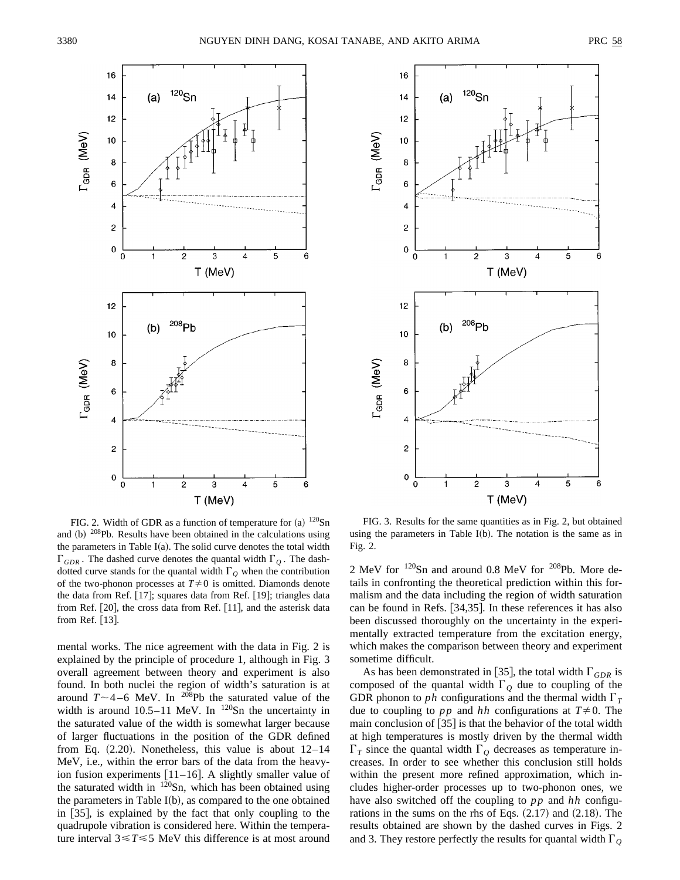



FIG. 2. Width of GDR as a function of temperature for (a)  $120\text{Sn}$ and  $(b)$  <sup>208</sup>Pb. Results have been obtained in the calculations using the parameters in Table I(a). The solid curve denotes the total width  $\Gamma_{GDR}$ . The dashed curve denotes the quantal width  $\Gamma_{Q}$ . The dashdotted curve stands for the quantal width  $\Gamma_Q$  when the contribution of the two-phonon processes at  $T\neq 0$  is omitted. Diamonds denote the data from Ref.  $[17]$ ; squares data from Ref.  $[19]$ ; triangles data from Ref.  $[20]$ , the cross data from Ref.  $[11]$ , and the asterisk data from Ref.  $[13]$ .

mental works. The nice agreement with the data in Fig. 2 is explained by the principle of procedure 1, although in Fig. 3 overall agreement between theory and experiment is also found. In both nuclei the region of width's saturation is at around  $T \sim 4-6$  MeV. In <sup>208</sup>Pb the saturated value of the width is around  $10.5-11$  MeV. In  $^{120}$ Sn the uncertainty in the saturated value of the width is somewhat larger because of larger fluctuations in the position of the GDR defined from Eq.  $(2.20)$ . Nonetheless, this value is about  $12-14$ MeV, i.e., within the error bars of the data from the heavyion fusion experiments  $[11–16]$ . A slightly smaller value of the saturated width in  $120$ Sn, which has been obtained using the parameters in Table  $I(b)$ , as compared to the one obtained in  $[35]$ , is explained by the fact that only coupling to the quadrupole vibration is considered here. Within the temperature interval  $3 \le T \le 5$  MeV this difference is at most around

FIG. 3. Results for the same quantities as in Fig. 2, but obtained using the parameters in Table  $I(b)$ . The notation is the same as in Fig. 2.

2 MeV for 120Sn and around 0.8 MeV for 208Pb. More details in confronting the theoretical prediction within this formalism and the data including the region of width saturation can be found in Refs. [34,35]. In these references it has also been discussed thoroughly on the uncertainty in the experimentally extracted temperature from the excitation energy, which makes the comparison between theory and experiment sometime difficult.

As has been demonstrated in [35], the total width  $\Gamma_{GDR}$  is composed of the quantal width  $\Gamma_Q$  due to coupling of the GDR phonon to *ph* configurations and the thermal width  $\Gamma_T$ due to coupling to *pp* and *hh* configurations at  $T \neq 0$ . The main conclusion of  $|35|$  is that the behavior of the total width at high temperatures is mostly driven by the thermal width  $\Gamma_T$  since the quantal width  $\Gamma_Q$  decreases as temperature increases. In order to see whether this conclusion still holds within the present more refined approximation, which includes higher-order processes up to two-phonon ones, we have also switched off the coupling to *pp* and *hh* configurations in the sums on the rhs of Eqs.  $(2.17)$  and  $(2.18)$ . The results obtained are shown by the dashed curves in Figs. 2 and 3. They restore perfectly the results for quantal width  $\Gamma$ <sub>O</sub>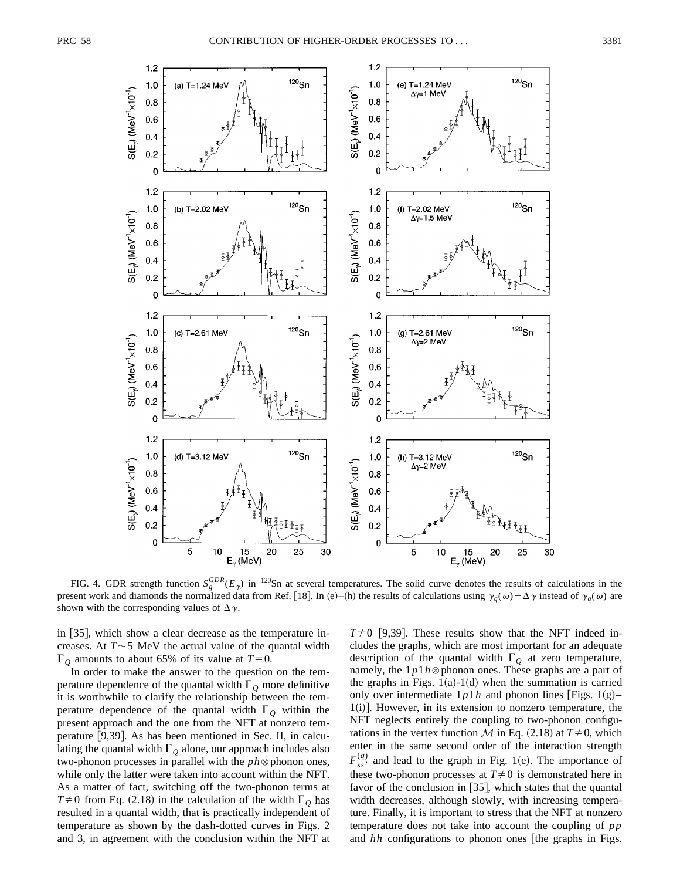

FIG. 4. GDR strength function  $S_q^{GDR}(E_\gamma)$  in <sup>120</sup>Sn at several temperatures. The solid curve denotes the results of calculations in the present work and diamonds the normalized data from Ref. [18]. In (e)–(h) the results of calculations using  $\gamma_q(\omega) + \Delta \gamma$  instead of  $\gamma_q(\omega)$  are shown with the corresponding values of  $\Delta \gamma$ .

in [35], which show a clear decrease as the temperature increases. At  $T \sim 5$  MeV the actual value of the quantal width  $\Gamma$ <sub>O</sub> amounts to about 65% of its value at  $T=0$ .

In order to make the answer to the question on the temperature dependence of the quantal width  $\Gamma$ <sub>Q</sub> more definitive it is worthwhile to clarify the relationship between the temperature dependence of the quantal width  $\Gamma$ <sub>O</sub> within the present approach and the one from the NFT at nonzero temperature  $[9,39]$ . As has been mentioned in Sec. II, in calculating the quantal width  $\Gamma$ <sub>O</sub> alone, our approach includes also two-phonon processes in parallel with the  $ph \otimes$  phonon ones, while only the latter were taken into account within the NFT. As a matter of fact, switching off the two-phonon terms at  $T\neq0$  from Eq. (2.18) in the calculation of the width  $\Gamma$ <sub>Q</sub> has resulted in a quantal width, that is practically independent of temperature as shown by the dash-dotted curves in Figs. 2 and 3, in agreement with the conclusion within the NFT at  $T\neq 0$  [9,39]. These results show that the NFT indeed includes the graphs, which are most important for an adequate description of the quantal width  $\Gamma$ <sub>O</sub> at zero temperature, namely, the  $1p1h$   $\otimes$  phonon ones. These graphs are a part of the graphs in Figs.  $1(a)-1(d)$  when the summation is carried only over intermediate  $1p1h$  and phonon lines [Figs. 1(g)–  $1(i)$ ]. However, in its extension to nonzero temperature, the NFT neglects entirely the coupling to two-phonon configurations in the vertex function *M* in Eq.  $(2.18)$  at  $T \neq 0$ , which enter in the same second order of the interaction strength  $F_{ss}^{(q)}$  and lead to the graph in Fig. 1(e). The importance of these two-phonon processes at  $T\neq 0$  is demonstrated here in favor of the conclusion in  $[35]$ , which states that the quantal width decreases, although slowly, with increasing temperature. Finally, it is important to stress that the NFT at nonzero temperature does not take into account the coupling of *pp* and *hh* configurations to phonon ones [the graphs in Figs.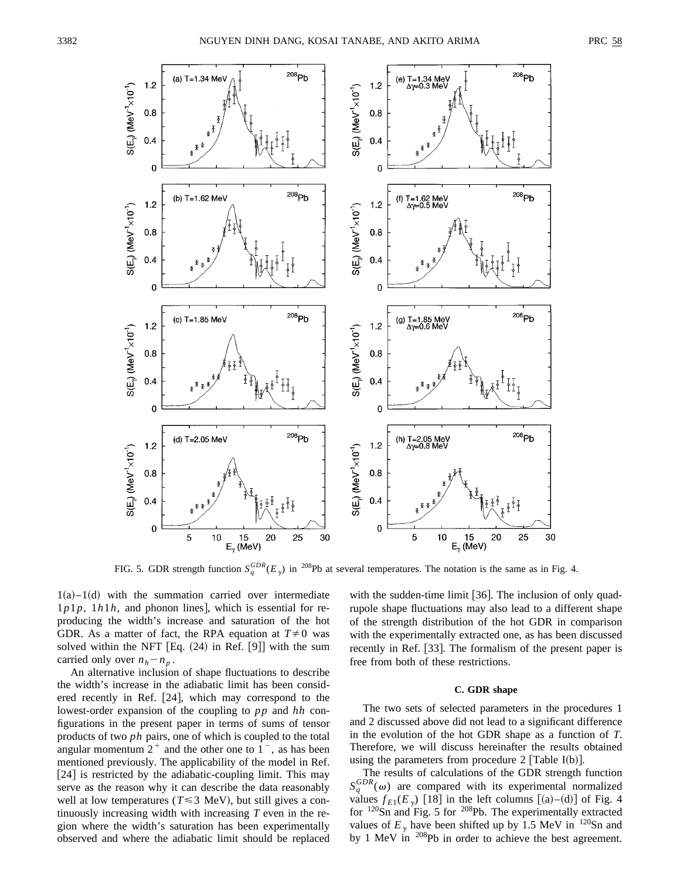

FIG. 5. GDR strength function  $S_q^{GDR}(E_\gamma)$  in <sup>208</sup>Pb at several temperatures. The notation is the same as in Fig. 4.

 $1(a)$ – $1(d)$  with the summation carried over intermediate  $1p1p$ ,  $1h1h$ , and phonon lines], which is essential for reproducing the width's increase and saturation of the hot GDR. As a matter of fact, the RPA equation at  $T \neq 0$  was solved within the NFT  $[Eq. (24)$  in Ref.  $[9]$  with the sum carried only over  $n_h - n_p$ .

An alternative inclusion of shape fluctuations to describe the width's increase in the adiabatic limit has been considered recently in Ref.  $[24]$ , which may correspond to the lowest-order expansion of the coupling to *pp* and *hh* configurations in the present paper in terms of sums of tensor products of two *ph* pairs, one of which is coupled to the total angular momentum  $2^+$  and the other one to  $1^-$ , as has been mentioned previously. The applicability of the model in Ref.  $[24]$  is restricted by the adiabatic-coupling limit. This may serve as the reason why it can describe the data reasonably well at low temperatures ( $T \leq 3$  MeV), but still gives a continuously increasing width with increasing *T* even in the region where the width's saturation has been experimentally observed and where the adiabatic limit should be replaced with the sudden-time limit  $[36]$ . The inclusion of only quadrupole shape fluctuations may also lead to a different shape of the strength distribution of the hot GDR in comparison with the experimentally extracted one, as has been discussed recently in Ref. [33]. The formalism of the present paper is free from both of these restrictions.

# **C. GDR shape**

The two sets of selected parameters in the procedures 1 and 2 discussed above did not lead to a significant difference in the evolution of the hot GDR shape as a function of *T*. Therefore, we will discuss hereinafter the results obtained using the parameters from procedure 2 [Table I(b)].

The results of calculations of the GDR strength function  $S_q^{GDR}(\omega)$  are compared with its experimental normalized values  $f_{E1}(E_{\gamma})$  [18] in the left columns [(a)–(d)] of Fig. 4 for  $^{120}$ Sn and Fig. 5 for  $^{208}$ Pb. The experimentally extracted values of  $E<sub>y</sub>$  have been shifted up by 1.5 MeV in <sup>120</sup>Sn and by 1 MeV in <sup>208</sup>Pb in order to achieve the best agreement.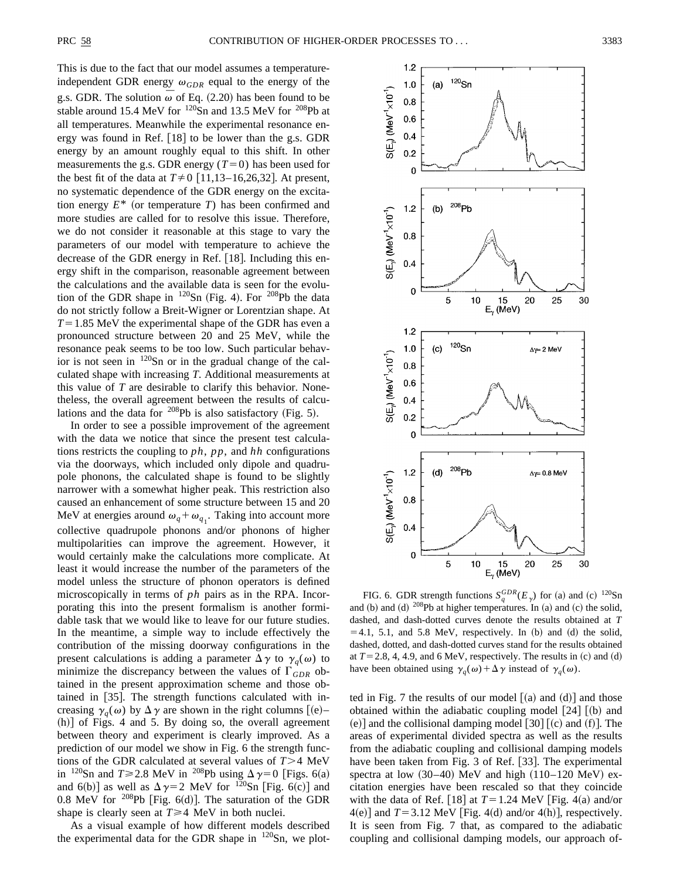This is due to the fact that our model assumes a temperatureindependent GDR energy  $\omega_{GDR}$  equal to the energy of the g.s. GDR. The solution  $\overline{\omega}$  of Eq. (2.20) has been found to be stable around 15.4 MeV for  $120$ Sn and 13.5 MeV for  $208$ Pb at all temperatures. Meanwhile the experimental resonance energy was found in Ref.  $[18]$  to be lower than the g.s. GDR energy by an amount roughly equal to this shift. In other measurements the g.s. GDR energy  $(T=0)$  has been used for the best fit of the data at  $T \neq 0$  [11,13–16,26,32]. At present, no systematic dependence of the GDR energy on the excitation energy  $E^*$  (or temperature *T*) has been confirmed and more studies are called for to resolve this issue. Therefore, we do not consider it reasonable at this stage to vary the parameters of our model with temperature to achieve the decrease of the GDR energy in Ref.  $[18]$ . Including this energy shift in the comparison, reasonable agreement between the calculations and the available data is seen for the evolution of the GDR shape in  $^{120}Sn$  (Fig. 4). For  $^{208}Pb$  the data do not strictly follow a Breit-Wigner or Lorentzian shape. At  $T=1.85$  MeV the experimental shape of the GDR has even a pronounced structure between 20 and 25 MeV, while the resonance peak seems to be too low. Such particular behavior is not seen in 120Sn or in the gradual change of the calculated shape with increasing *T*. Additional measurements at this value of *T* are desirable to clarify this behavior. Nonetheless, the overall agreement between the results of calculations and the data for  $^{208}Pb$  is also satisfactory (Fig. 5).

In order to see a possible improvement of the agreement with the data we notice that since the present test calculations restricts the coupling to *ph*, *pp*, and *hh* configurations via the doorways, which included only dipole and quadrupole phonons, the calculated shape is found to be slightly narrower with a somewhat higher peak. This restriction also caused an enhancement of some structure between 15 and 20 MeV at energies around  $\omega_q + \omega_{q_1}$ . Taking into account more collective quadrupole phonons and/or phonons of higher multipolarities can improve the agreement. However, it would certainly make the calculations more complicate. At least it would increase the number of the parameters of the model unless the structure of phonon operators is defined microscopically in terms of *ph* pairs as in the RPA. Incorporating this into the present formalism is another formidable task that we would like to leave for our future studies. In the meantime, a simple way to include effectively the contribution of the missing doorway configurations in the present calculations is adding a parameter  $\Delta \gamma$  to  $\gamma_q(\omega)$  to minimize the discrepancy between the values of  $\Gamma_{GDR}$  obtained in the present approximation scheme and those obtained in  $[35]$ . The strength functions calculated with increasing  $\gamma_q(\omega)$  by  $\Delta \gamma$  are shown in the right columns  $[(e)-]$  $(h)$  of Figs. 4 and 5. By doing so, the overall agreement between theory and experiment is clearly improved. As a prediction of our model we show in Fig. 6 the strength functions of the GDR calculated at several values of  $T > 4$  MeV in <sup>120</sup>Sn and *T*  $\geq$  2.8 MeV in <sup>208</sup>Pb using  $\Delta \gamma = 0$  [Figs. 6(a) and 6(b)] as well as  $\Delta \gamma = 2$  MeV for <sup>120</sup>Sn [Fig. 6(c)] and 0.8 MeV for  $^{208}Pb$  [Fig. 6(d)]. The saturation of the GDR shape is clearly seen at  $T \geq 4$  MeV in both nuclei.

As a visual example of how different models described the experimental data for the GDR shape in  $120$ Sn, we plot-



FIG. 6. GDR strength functions  $S_q^{GDR}(E_\gamma)$  for (a) and (c) <sup>120</sup>Sn and (b) and (d)  $^{208}Pb$  at higher temperatures. In (a) and (c) the solid, dashed, and dash-dotted curves denote the results obtained at *T*  $=4.1, 5.1,$  and 5.8 MeV, respectively. In (b) and (d) the solid, dashed, dotted, and dash-dotted curves stand for the results obtained at  $T=2.8, 4, 4.9,$  and 6 MeV, respectively. The results in (c) and (d) have been obtained using  $\gamma_q(\omega) + \Delta \gamma$  instead of  $\gamma_q(\omega)$ .

ted in Fig. 7 the results of our model  $(a)$  and  $(d)$  and those obtained within the adiabatic coupling model  $[24]$   $[(b)$  and (e)] and the collisional damping model  $\lceil 30 \rceil$  (c) and (f)]. The areas of experimental divided spectra as well as the results from the adiabatic coupling and collisional damping models have been taken from Fig. 3 of Ref.  $[33]$ . The experimental spectra at low  $(30-40)$  MeV and high  $(110-120 \text{ MeV})$  excitation energies have been rescaled so that they coincide with the data of Ref. [18] at  $T=1.24$  MeV [Fig. 4(a) and/or  $4(e)$ ] and  $T=3.12$  MeV [Fig. 4(d) and/or 4(h)], respectively. It is seen from Fig. 7 that, as compared to the adiabatic coupling and collisional damping models, our approach of-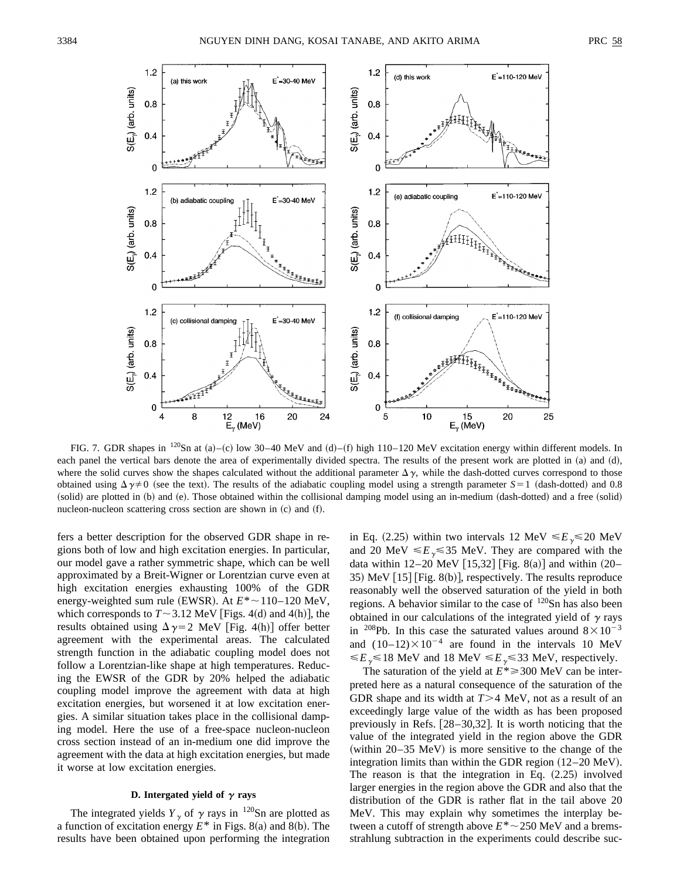

FIG. 7. GDR shapes in <sup>120</sup>Sn at (a)–(c) low 30–40 MeV and (d)–(f) high 110–120 MeV excitation energy within different models. In each panel the vertical bars denote the area of experimentally divided spectra. The results of the present work are plotted in  $(a)$  and  $(d)$ , where the solid curves show the shapes calculated without the additional parameter  $\Delta \gamma$ , while the dash-dotted curves correspond to those obtained using  $\Delta \gamma \neq 0$  (see the text). The results of the adiabatic coupling model using a strength parameter *S*=1 (dash-dotted) and 0.8 (solid) are plotted in (b) and (e). Those obtained within the collisional damping model using an in-medium (dash-dotted) and a free (solid) nucleon-nucleon scattering cross section are shown in  $(c)$  and  $(f)$ .

fers a better description for the observed GDR shape in regions both of low and high excitation energies. In particular, our model gave a rather symmetric shape, which can be well approximated by a Breit-Wigner or Lorentzian curve even at high excitation energies exhausting 100% of the GDR energy-weighted sum rule (EWSR). At  $E^* \sim 110-120$  MeV, which corresponds to  $T \sim 3.12$  MeV [Figs. 4(d) and 4(h)], the results obtained using  $\Delta \gamma = 2$  MeV [Fig. 4(h)] offer better agreement with the experimental areas. The calculated strength function in the adiabatic coupling model does not follow a Lorentzian-like shape at high temperatures. Reducing the EWSR of the GDR by 20% helped the adiabatic coupling model improve the agreement with data at high excitation energies, but worsened it at low excitation energies. A similar situation takes place in the collisional damping model. Here the use of a free-space nucleon-nucleon cross section instead of an in-medium one did improve the agreement with the data at high excitation energies, but made it worse at low excitation energies.

# **D.** Intergated yield of  $\gamma$  rays

The integrated yields  $Y_{\gamma}$  of  $\gamma$  rays in <sup>120</sup>Sn are plotted as a function of excitation energy  $E^*$  in Figs. 8(a) and 8(b). The results have been obtained upon performing the integration in Eq. (2.25) within two intervals 12 MeV  $\leq E_{\gamma} \leq 20$  MeV and 20 MeV  $\leq E_{\gamma} \leq 35$  MeV. They are compared with the data within 12–20 MeV  $[15,32]$  [Fig. 8(a)] and within  $(20-$ 35) MeV  $[15]$  [Fig. 8(b)], respectively. The results reproduce reasonably well the observed saturation of the yield in both regions. A behavior similar to the case of  $120$ Sn has also been obtained in our calculations of the integrated yield of  $\gamma$  rays in <sup>208</sup>Pb. In this case the saturated values around  $8 \times 10^{-3}$ and  $(10-12)\times10^{-4}$  are found in the intervals 10 MeV  $\leq E_{\gamma} \leq 18$  MeV and 18 MeV  $\leq E_{\gamma} \leq 33$  MeV, respectively.

The saturation of the yield at  $E^* \ge 300$  MeV can be interpreted here as a natural consequence of the saturation of the GDR shape and its width at  $T>4$  MeV, not as a result of an exceedingly large value of the width as has been proposed previously in Refs.  $[28-30,32]$ . It is worth noticing that the value of the integrated yield in the region above the GDR (within  $20-35$  MeV) is more sensitive to the change of the integration limits than within the GDR region  $(12–20 \text{ MeV})$ . The reason is that the integration in Eq.  $(2.25)$  involved larger energies in the region above the GDR and also that the distribution of the GDR is rather flat in the tail above 20 MeV. This may explain why sometimes the interplay between a cutoff of strength above  $E^* \sim 250$  MeV and a bremsstrahlung subtraction in the experiments could describe suc-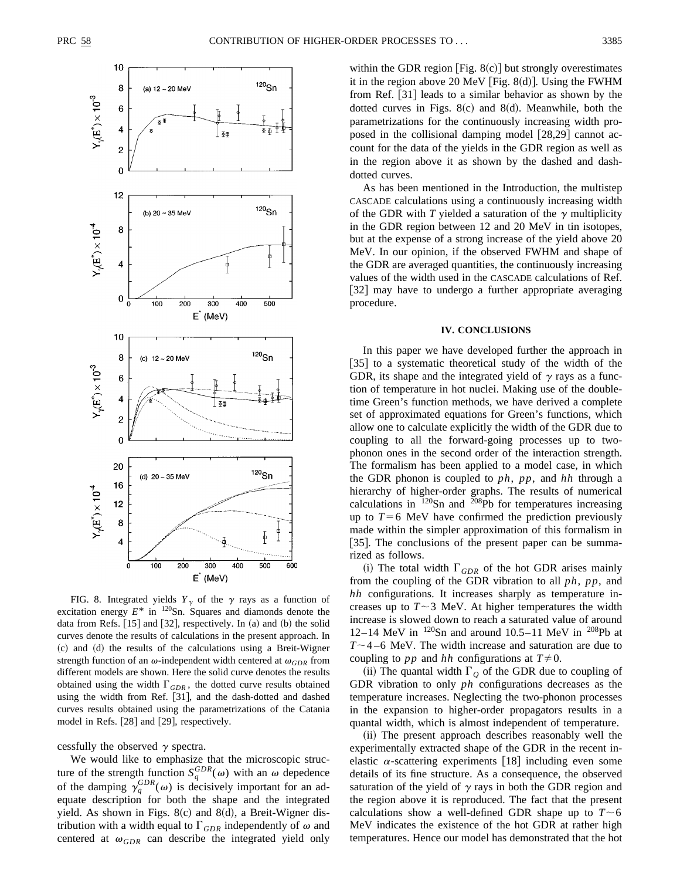

FIG. 8. Integrated yields  $Y_{\gamma}$  of the  $\gamma$  rays as a function of excitation energy  $E^*$  in  $^{120}$ Sn. Squares and diamonds denote the data from Refs.  $[15]$  and  $[32]$ , respectively. In (a) and (b) the solid curves denote the results of calculations in the present approach. In (c) and (d) the results of the calculations using a Breit-Wigner strength function of an  $\omega$ -independent width centered at  $\omega_{GDR}$  from different models are shown. Here the solid curve denotes the results obtained using the width  $\Gamma_{GDR}$ , the dotted curve results obtained using the width from Ref. [31], and the dash-dotted and dashed curves results obtained using the parametrizations of the Catania model in Refs. [28] and [29], respectively.

cessfully the observed  $\gamma$  spectra.

We would like to emphasize that the microscopic structure of the strength function  $S_q^{GDR}(\omega)$  with an  $\omega$  depedence of the damping  $\gamma_q^{GDR}(\omega)$  is decisively important for an adequate description for both the shape and the integrated yield. As shown in Figs.  $8(c)$  and  $8(d)$ , a Breit-Wigner distribution with a width equal to  $\Gamma_{GDR}$  independently of  $\omega$  and centered at  $\omega_{GDR}$  can describe the integrated yield only

within the GDR region [Fig.  $8(c)$ ] but strongly overestimates it in the region above 20 MeV [Fig. 8 $(d)$ ]. Using the FWHM from Ref. [31] leads to a similar behavior as shown by the dotted curves in Figs.  $8(c)$  and  $8(d)$ . Meanwhile, both the parametrizations for the continuously increasing width proposed in the collisional damping model  $[28,29]$  cannot account for the data of the yields in the GDR region as well as in the region above it as shown by the dashed and dashdotted curves.

As has been mentioned in the Introduction, the multistep CASCADE calculations using a continuously increasing width of the GDR with *T* yielded a saturation of the  $\gamma$  multiplicity in the GDR region between 12 and 20 MeV in tin isotopes, but at the expense of a strong increase of the yield above 20 MeV. In our opinion, if the observed FWHM and shape of the GDR are averaged quantities, the continuously increasing values of the width used in the CASCADE calculations of Ref. [32] may have to undergo a further appropriate averaging procedure.

### **IV. CONCLUSIONS**

In this paper we have developed further the approach in [35] to a systematic theoretical study of the width of the GDR, its shape and the integrated yield of  $\gamma$  rays as a function of temperature in hot nuclei. Making use of the doubletime Green's function methods, we have derived a complete set of approximated equations for Green's functions, which allow one to calculate explicitly the width of the GDR due to coupling to all the forward-going processes up to twophonon ones in the second order of the interaction strength. The formalism has been applied to a model case, in which the GDR phonon is coupled to *ph*, *pp*, and *hh* through a hierarchy of higher-order graphs. The results of numerical calculations in  $120$ Sn and  $208$ Pb for temperatures increasing up to  $T=6$  MeV have confirmed the prediction previously made within the simpler approximation of this formalism in [35]. The conclusions of the present paper can be summarized as follows.

(i) The total width  $\Gamma_{GDR}$  of the hot GDR arises mainly from the coupling of the GDR vibration to all *ph*, *pp*, and *hh* configurations. It increases sharply as temperature increases up to  $T \sim 3$  MeV. At higher temperatures the width increase is slowed down to reach a saturated value of around 12–14 MeV in  $120Sn$  and around 10.5–11 MeV in  $208Pb$  at  $T \sim$ 4–6 MeV. The width increase and saturation are due to coupling to *pp* and *hh* configurations at  $T \neq 0$ .

(ii) The quantal width  $\Gamma_Q$  of the GDR due to coupling of GDR vibration to only *ph* configurations decreases as the temperature increases. Neglecting the two-phonon processes in the expansion to higher-order propagators results in a quantal width, which is almost independent of temperature.

(ii) The present approach describes reasonably well the experimentally extracted shape of the GDR in the recent inelastic  $\alpha$ -scattering experiments [18] including even some details of its fine structure. As a consequence, the observed saturation of the yield of  $\gamma$  rays in both the GDR region and the region above it is reproduced. The fact that the present calculations show a well-defined GDR shape up to  $T \sim 6$ MeV indicates the existence of the hot GDR at rather high temperatures. Hence our model has demonstrated that the hot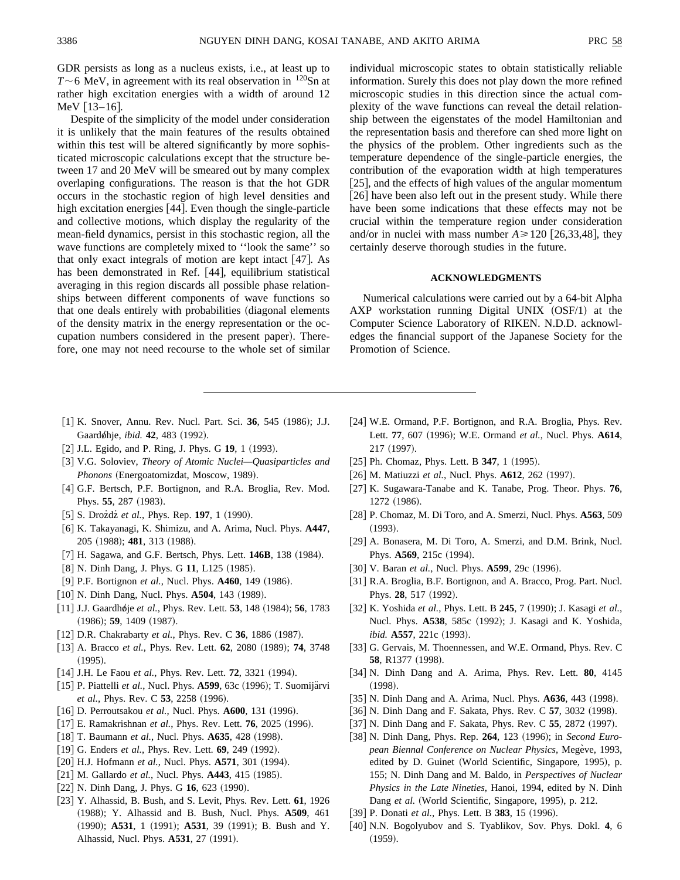GDR persists as long as a nucleus exists, i.e., at least up to  $T \sim 6$  MeV, in agreement with its real observation in  $120$ Sn at rather high excitation energies with a width of around 12 MeV  $[13-16]$ .

Despite of the simplicity of the model under consideration it is unlikely that the main features of the results obtained within this test will be altered significantly by more sophisticated microscopic calculations except that the structure between 17 and 20 MeV will be smeared out by many complex overlaping configurations. The reason is that the hot GDR occurs in the stochastic region of high level densities and high excitation energies  $[44]$ . Even though the single-particle and collective motions, which display the regularity of the mean-field dynamics, persist in this stochastic region, all the wave functions are completely mixed to ''look the same'' so that only exact integrals of motion are kept intact  $[47]$ . As has been demonstrated in Ref.  $[44]$ , equilibrium statistical averaging in this region discards all possible phase relationships between different components of wave functions so that one deals entirely with probabilities (diagonal elements of the density matrix in the energy representation or the occupation numbers considered in the present paper). Therefore, one may not need recourse to the whole set of similar individual microscopic states to obtain statistically reliable information. Surely this does not play down the more refined microscopic studies in this direction since the actual complexity of the wave functions can reveal the detail relationship between the eigenstates of the model Hamiltonian and the representation basis and therefore can shed more light on the physics of the problem. Other ingredients such as the temperature dependence of the single-particle energies, the contribution of the evaporation width at high temperatures  $[25]$ , and the effects of high values of the angular momentum  $[26]$  have been also left out in the present study. While there have been some indications that these effects may not be crucial within the temperature region under consideration and/or in nuclei with mass number  $A \ge 120$  [26,33,48], they certainly deserve thorough studies in the future.

#### **ACKNOWLEDGMENTS**

Numerical calculations were carried out by a 64-bit Alpha AXP workstation running Digital UNIX  $(OSF/1)$  at the Computer Science Laboratory of RIKEN. N.D.D. acknowledges the financial support of the Japanese Society for the Promotion of Science.

- [1] K. Snover, Annu. Rev. Nucl. Part. Sci. 36, 545 (1986); J.J. Gaardøhje, *ibid.* **42**, 483 (1992).
- [2] J.L. Egido, and P. Ring, J. Phys. G **19**, 1 (1993).
- @3# V.G. Soloviev, *Theory of Atomic Nuclei—Quasiparticles and Phonons* (Energoatomizdat, Moscow, 1989).
- [4] G.F. Bertsch, P.F. Bortignon, and R.A. Broglia, Rev. Mod. Phys. 55, 287 (1983).
- $[5]$  S. Drozdz *et al.*, Phys. Rep. **197**, 1 (1990).
- @6# K. Takayanagi, K. Shimizu, and A. Arima, Nucl. Phys. **A447**, 205 (1988); **481**, 313 (1988).
- [7] H. Sagawa, and G.F. Bertsch, Phys. Lett. **146B**, 138 (1984).
- [8] N. Dinh Dang, J. Phys. G 11, L125 (1985).
- [9] P.F. Bortignon et al., Nucl. Phys. **A460**, 149 (1986).
- $[10]$  N. Dinh Dang, Nucl. Phys.  $A504$ , 143 (1989).
- [11] J.J. Gaardhøje et al., Phys. Rev. Lett. **53**, 148 (1984); **56**, 1783  $(1986);$  **59**, 1409  $(1987).$
- [12] D.R. Chakrabarty et al., Phys. Rev. C 36, 1886 (1987).
- [13] A. Bracco et al., Phys. Rev. Lett. **62**, 2080 (1989); **74**, 3748  $(1995).$
- [14] J.H. Le Faou *et al.*, Phys. Rev. Lett. **72**, 3321 (1994).
- [15] P. Piattelli et al., Nucl. Phys. **A599**, 63c (1996); T. Suomijärvi *et al.*, Phys. Rev. C 53, 2258 (1996).
- [16] D. Perroutsakou *et al.*, Nucl. Phys. **A600**, 131 (1996).
- [17] E. Ramakrishnan *et al.*, Phys. Rev. Lett. **76**, 2025 (1996).
- [18] T. Baumann *et al.*, Nucl. Phys. **A635**, 428 (1998).
- [19] G. Enders *et al.*, Phys. Rev. Lett. **69**, 249 (1992).
- [20] H.J. Hofmann et al., Nucl. Phys. **A571**, 301 (1994).
- [21] M. Gallardo et al., Nucl. Phys. **A443**, 415 (1985).
- $[22]$  N. Dinh Dang, J. Phys. G **16**, 623 (1990).
- @23# Y. Alhassid, B. Bush, and S. Levit, Phys. Rev. Lett. **61**, 1926 ~1988!; Y. Alhassid and B. Bush, Nucl. Phys. **A509**, 461 (1990); **A531**, 1 (1991); **A531**, 39 (1991); B. Bush and Y. Alhassid, Nucl. Phys. **A531**, 27 (1991).
- [24] W.E. Ormand, P.F. Bortignon, and R.A. Broglia, Phys. Rev. Lett. 77, 607 (1996); W.E. Ormand et al., Nucl. Phys. A614, 217 (1997).
- $[25]$  Ph. Chomaz, Phys. Lett. B  $347$ , 1  $(1995)$ .
- [26] M. Matiuzzi *et al.*, Nucl. Phys. **A612**, 262 (1997).
- [27] K. Sugawara-Tanabe and K. Tanabe, Prog. Theor. Phys. **76**, 1272 (1986).
- @28# P. Chomaz, M. Di Toro, and A. Smerzi, Nucl. Phys. **A563**, 509  $(1993).$
- [29] A. Bonasera, M. Di Toro, A. Smerzi, and D.M. Brink, Nucl. Phys. A569, 215c (1994).
- [30] V. Baran et al., Nucl. Phys. A599, 29c (1996).
- [31] R.A. Broglia, B.F. Bortignon, and A. Bracco, Prog. Part. Nucl. Phys. 28, 517 (1992).
- [32] K. Yoshida et al., Phys. Lett. B **245**, 7 (1990); J. Kasagi et al., Nucl. Phys. **A538**, 585c (1992); J. Kasagi and K. Yoshida, *ibid.* **A557**, 221c (1993).
- [33] G. Gervais, M. Thoennessen, and W.E. Ormand, Phys. Rev. C 58, R1377 (1998).
- [34] N. Dinh Dang and A. Arima, Phys. Rev. Lett. **80**, 4145  $(1998).$
- [35] N. Dinh Dang and A. Arima, Nucl. Phys. **A636**, 443 (1998).
- [36] N. Dinh Dang and F. Sakata, Phys. Rev. C 57, 3032 (1998).
- [37] N. Dinh Dang and F. Sakata, Phys. Rev. C **55**, 2872 (1997).
- [38] N. Dinh Dang, Phys. Rep. 264, 123 (1996); in *Second European Biennal Conference on Nuclear Physics*, Mege`ve, 1993, edited by D. Guinet (World Scientific, Singapore, 1995), p. 155; N. Dinh Dang and M. Baldo, in *Perspectives of Nuclear Physics in the Late Nineties*, Hanoi, 1994, edited by N. Dinh Dang et al. (World Scientific, Singapore, 1995), p. 212.
- [39] P. Donati et al., Phys. Lett. B 383, 15 (1996).
- @40# N.N. Bogolyubov and S. Tyablikov, Sov. Phys. Dokl. **4**, 6  $(1959).$